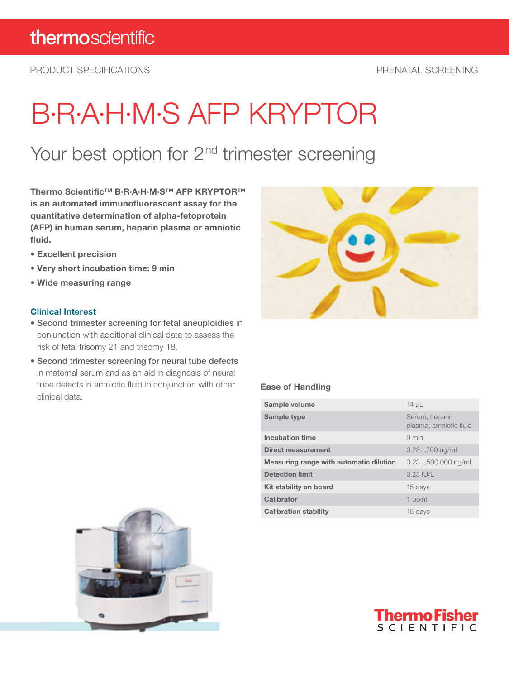PRODUCT SPECIFICATIONS PRENATAL SCREENING

# B·R·A·H·M·S AFP KRYPTOR

### Your best option for 2<sup>nd</sup> trimester screening

Thermo Scientific™ B·R·A·H·M·S™ AFP KRYPTOR™ is an automated immunofluorescent assay for the quantitative determination of alpha-fetoprotein (AFP) in human serum, heparin plasma or amniotic fluid.

- Excellent precision
- Very short incubation time: 9 min
- Wide measuring range

#### Clinical Interest

- Second trimester screening for fetal aneuploidies in conjunction with additional clinical data to assess the risk of fetal trisomy 21 and trisomy 18.
- Second trimester screening for neural tube defects in maternal serum and as an aid in diagnosis of neural tube defects in amniotic fluid in conjunction with other clinical data.



#### Ease of Handling

| Sample volume                           | $14 \mu L$                               |
|-----------------------------------------|------------------------------------------|
| Sample type                             | Serum, heparin<br>plasma, amniotic fluid |
| Incubation time                         | $9 \text{ min}$                          |
| <b>Direct measurement</b>               | $0.23700$ ng/mL                          |
| Measuring range with automatic dilution | $0.23500000$ ng/mL                       |
| <b>Detection limit</b>                  | $0.23$ IU/L                              |
| Kit stability on board                  | 15 days                                  |
| Calibrator                              | 1 point                                  |
| <b>Calibration stability</b>            | 15 days                                  |